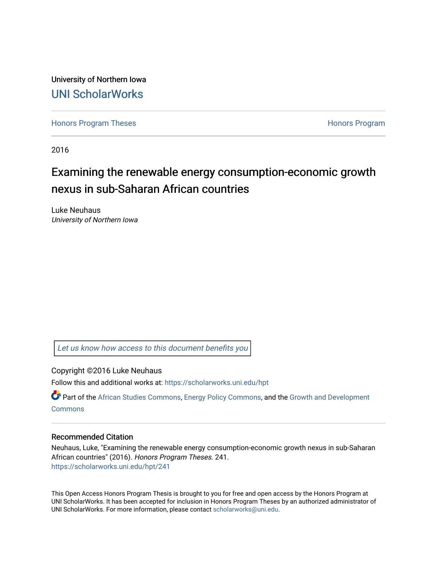University of Northern Iowa [UNI ScholarWorks](https://scholarworks.uni.edu/) 

[Honors Program Theses](https://scholarworks.uni.edu/hpt) **Honors Program** Honors Program

2016

# Examining the renewable energy consumption-economic growth nexus in sub-Saharan African countries

Luke Neuhaus University of Northern Iowa

[Let us know how access to this document benefits you](https://scholarworks.uni.edu/feedback_form.html) 

Copyright ©2016 Luke Neuhaus

Follow this and additional works at: [https://scholarworks.uni.edu/hpt](https://scholarworks.uni.edu/hpt?utm_source=scholarworks.uni.edu%2Fhpt%2F241&utm_medium=PDF&utm_campaign=PDFCoverPages) 

Part of the [African Studies Commons,](http://network.bepress.com/hgg/discipline/1043?utm_source=scholarworks.uni.edu%2Fhpt%2F241&utm_medium=PDF&utm_campaign=PDFCoverPages) [Energy Policy Commons,](http://network.bepress.com/hgg/discipline/1065?utm_source=scholarworks.uni.edu%2Fhpt%2F241&utm_medium=PDF&utm_campaign=PDFCoverPages) and the [Growth and Development](http://network.bepress.com/hgg/discipline/346?utm_source=scholarworks.uni.edu%2Fhpt%2F241&utm_medium=PDF&utm_campaign=PDFCoverPages) **[Commons](http://network.bepress.com/hgg/discipline/346?utm_source=scholarworks.uni.edu%2Fhpt%2F241&utm_medium=PDF&utm_campaign=PDFCoverPages)** 

## Recommended Citation

Neuhaus, Luke, "Examining the renewable energy consumption-economic growth nexus in sub-Saharan African countries" (2016). Honors Program Theses. 241. [https://scholarworks.uni.edu/hpt/241](https://scholarworks.uni.edu/hpt/241?utm_source=scholarworks.uni.edu%2Fhpt%2F241&utm_medium=PDF&utm_campaign=PDFCoverPages) 

This Open Access Honors Program Thesis is brought to you for free and open access by the Honors Program at UNI ScholarWorks. It has been accepted for inclusion in Honors Program Theses by an authorized administrator of UNI ScholarWorks. For more information, please contact [scholarworks@uni.edu.](mailto:scholarworks@uni.edu)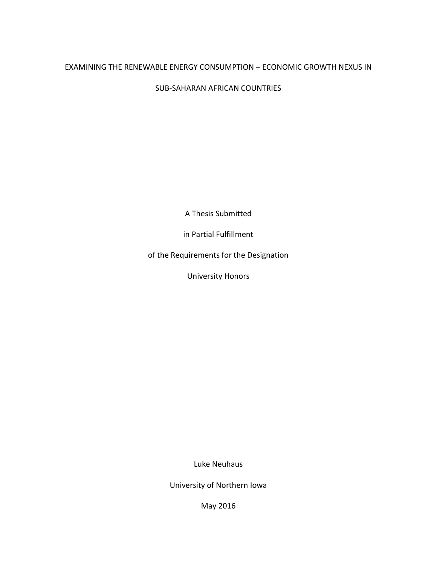# EXAMINING THE RENEWABLE ENERGY CONSUMPTION – ECONOMIC GROWTH NEXUS IN

SUB-SAHARAN AFRICAN COUNTRIES

A Thesis Submitted

in Partial Fulfillment

of the Requirements for the Designation

University Honors

Luke Neuhaus

University of Northern Iowa

May 2016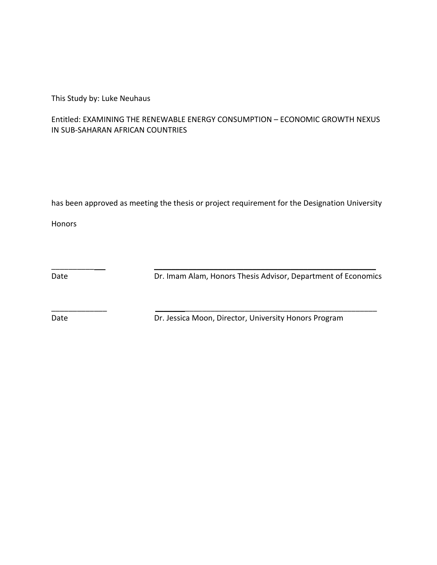This Study by: Luke Neuhaus

# Entitled: EXAMINING THE RENEWABLE ENERGY CONSUMPTION – ECONOMIC GROWTH NEXUS IN SUB-SAHARAN AFRICAN COUNTRIES

has been approved as meeting the thesis or project requirement for the Designation University

 $\overline{\phantom{a}}$  , and the contract of the contract of the contract of the contract of the contract of the contract of the contract of the contract of the contract of the contract of the contract of the contract of the contrac

\_\_\_\_\_\_\_\_\_\_\_\_\_ \_\_\_\_\_\_\_\_\_\_\_\_\_\_\_\_\_\_\_\_\_\_\_\_\_\_\_\_\_\_\_\_\_\_\_\_\_\_\_\_\_\_\_\_\_\_\_\_\_\_\_\_

Honors

Date Dr. Imam Alam, Honors Thesis Advisor, Department of Economics

Date Date Dr. Jessica Moon, Director, University Honors Program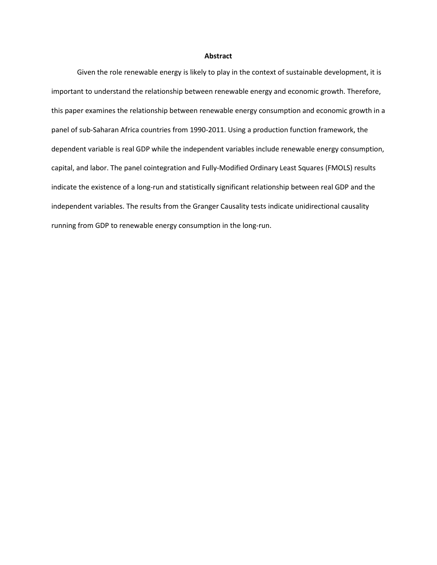#### **Abstract**

Given the role renewable energy is likely to play in the context of sustainable development, it is important to understand the relationship between renewable energy and economic growth. Therefore, this paper examines the relationship between renewable energy consumption and economic growth in a panel of sub-Saharan Africa countries from 1990-2011. Using a production function framework, the dependent variable is real GDP while the independent variables include renewable energy consumption, capital, and labor. The panel cointegration and Fully-Modified Ordinary Least Squares (FMOLS) results indicate the existence of a long-run and statistically significant relationship between real GDP and the independent variables. The results from the Granger Causality tests indicate unidirectional causality running from GDP to renewable energy consumption in the long-run.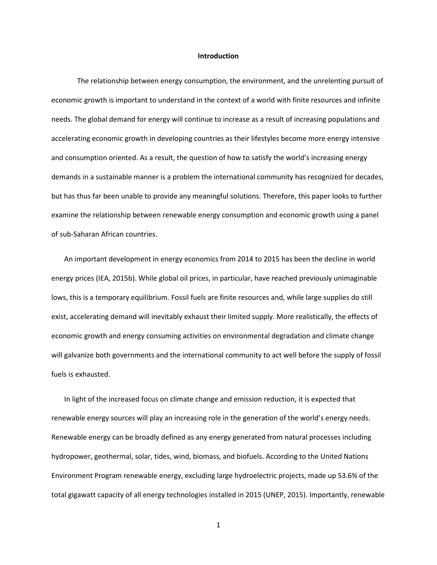#### **Introduction**

The relationship between energy consumption, the environment, and the unrelenting pursuit of economic growth is important to understand in the context of a world with finite resources and infinite needs. The global demand for energy will continue to increase as a result of increasing populations and accelerating economic growth in developing countries as their lifestyles become more energy intensive and consumption oriented. As a result, the question of how to satisfy the world's increasing energy demands in a sustainable manner is a problem the international community has recognized for decades, but has thus far been unable to provide any meaningful solutions. Therefore, this paper looks to further examine the relationship between renewable energy consumption and economic growth using a panel of sub-Saharan African countries.

An important development in energy economics from 2014 to 2015 has been the decline in world energy prices (IEA, 2015b). While global oil prices, in particular, have reached previously unimaginable lows, this is a temporary equilibrium. Fossil fuels are finite resources and, while large supplies do still exist, accelerating demand will inevitably exhaust their limited supply. More realistically, the effects of economic growth and energy consuming activities on environmental degradation and climate change will galvanize both governments and the international community to act well before the supply of fossil fuels is exhausted.

In light of the increased focus on climate change and emission reduction, it is expected that renewable energy sources will play an increasing role in the generation of the world's energy needs. Renewable energy can be broadly defined as any energy generated from natural processes including hydropower, geothermal, solar, tides, wind, biomass, and biofuels. According to the United Nations Environment Program renewable energy, excluding large hydroelectric projects, made up 53.6% of the total gigawatt capacity of all energy technologies installed in 2015 (UNEP, 2015). Importantly, renewable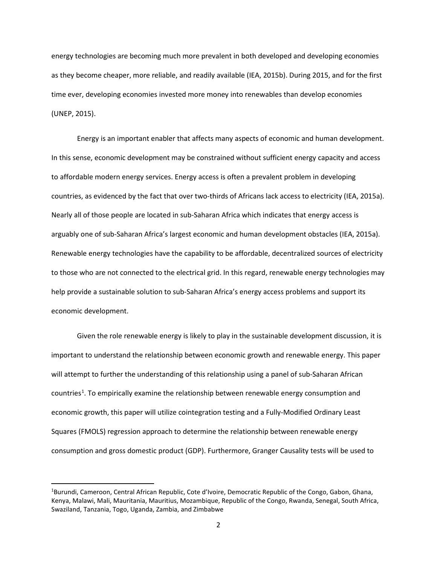energy technologies are becoming much more prevalent in both developed and developing economies as they become cheaper, more reliable, and readily available (IEA, 2015b). During 2015, and for the first time ever, developing economies invested more money into renewables than develop economies (UNEP, 2015).

Energy is an important enabler that affects many aspects of economic and human development. In this sense, economic development may be constrained without sufficient energy capacity and access to affordable modern energy services. Energy access is often a prevalent problem in developing countries, as evidenced by the fact that over two-thirds of Africans lack access to electricity (IEA, 2015a). Nearly all of those people are located in sub-Saharan Africa which indicates that energy access is arguably one of sub-Saharan Africa's largest economic and human development obstacles (IEA, 2015a). Renewable energy technologies have the capability to be affordable, decentralized sources of electricity to those who are not connected to the electrical grid. In this regard, renewable energy technologies may help provide a sustainable solution to sub-Saharan Africa's energy access problems and support its economic development.

Given the role renewable energy is likely to play in the sustainable development discussion, it is important to understand the relationship between economic growth and renewable energy. This paper will attempt to further the understanding of this relationship using a panel of sub-Saharan African countries<sup>[1](#page-5-0)</sup>. To empirically examine the relationship between renewable energy consumption and economic growth, this paper will utilize cointegration testing and a Fully-Modified Ordinary Least Squares (FMOLS) regression approach to determine the relationship between renewable energy consumption and gross domestic product (GDP). Furthermore, Granger Causality tests will be used to

l

<span id="page-5-0"></span><sup>&</sup>lt;sup>1</sup>Burundi, Cameroon, Central African Republic, Cote d'Ivoire, Democratic Republic of the Congo, Gabon, Ghana, Kenya, Malawi, Mali, Mauritania, Mauritius, Mozambique, Republic of the Congo, Rwanda, Senegal, South Africa, Swaziland, Tanzania, Togo, Uganda, Zambia, and Zimbabwe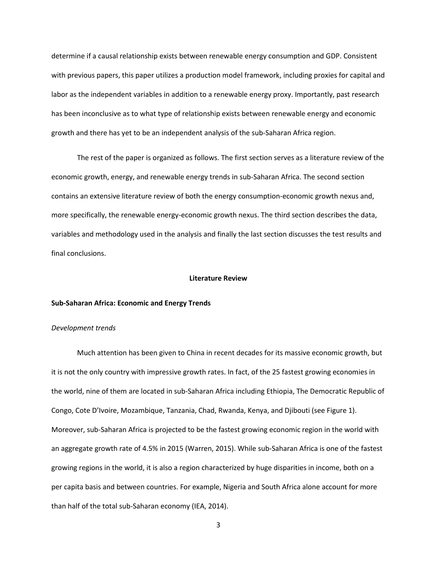determine if a causal relationship exists between renewable energy consumption and GDP. Consistent with previous papers, this paper utilizes a production model framework, including proxies for capital and labor as the independent variables in addition to a renewable energy proxy. Importantly, past research has been inconclusive as to what type of relationship exists between renewable energy and economic growth and there has yet to be an independent analysis of the sub-Saharan Africa region.

The rest of the paper is organized as follows. The first section serves as a literature review of the economic growth, energy, and renewable energy trends in sub-Saharan Africa. The second section contains an extensive literature review of both the energy consumption-economic growth nexus and, more specifically, the renewable energy-economic growth nexus. The third section describes the data, variables and methodology used in the analysis and finally the last section discusses the test results and final conclusions.

#### **Literature Review**

#### **Sub-Saharan Africa: Economic and Energy Trends**

#### *Development trends*

Much attention has been given to China in recent decades for its massive economic growth, but it is not the only country with impressive growth rates. In fact, of the 25 fastest growing economies in the world, nine of them are located in sub-Saharan Africa including Ethiopia, The Democratic Republic of Congo, Cote D'Ivoire, Mozambique, Tanzania, Chad, Rwanda, Kenya, and Djibouti (see Figure 1). Moreover, sub-Saharan Africa is projected to be the fastest growing economic region in the world with an aggregate growth rate of 4.5% in 2015 (Warren, 2015). While sub-Saharan Africa is one of the fastest growing regions in the world, it is also a region characterized by huge disparities in income, both on a per capita basis and between countries. For example, Nigeria and South Africa alone account for more than half of the total sub-Saharan economy (IEA, 2014).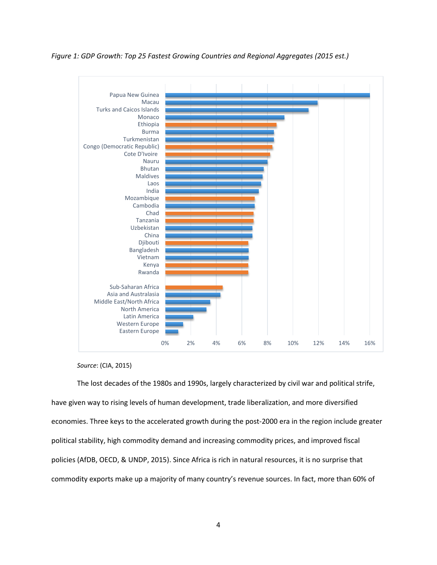*Figure 1: GDP Growth: Top 25 Fastest Growing Countries and Regional Aggregates (2015 est.)*



*Source*: (CIA, 2015)

The lost decades of the 1980s and 1990s, largely characterized by civil war and political strife, have given way to rising levels of human development, trade liberalization, and more diversified economies. Three keys to the accelerated growth during the post-2000 era in the region include greater political stability, high commodity demand and increasing commodity prices, and improved fiscal policies (AfDB, OECD, & UNDP, 2015). Since Africa is rich in natural resources, it is no surprise that commodity exports make up a majority of many country's revenue sources. In fact, more than 60% of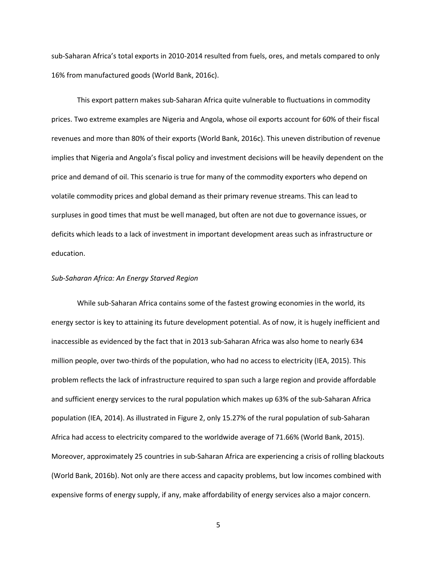sub-Saharan Africa's total exports in 2010-2014 resulted from fuels, ores, and metals compared to only 16% from manufactured goods (World Bank, 2016c).

This export pattern makes sub-Saharan Africa quite vulnerable to fluctuations in commodity prices. Two extreme examples are Nigeria and Angola, whose oil exports account for 60% of their fiscal revenues and more than 80% of their exports (World Bank, 2016c). This uneven distribution of revenue implies that Nigeria and Angola's fiscal policy and investment decisions will be heavily dependent on the price and demand of oil. This scenario is true for many of the commodity exporters who depend on volatile commodity prices and global demand as their primary revenue streams. This can lead to surpluses in good times that must be well managed, but often are not due to governance issues, or deficits which leads to a lack of investment in important development areas such as infrastructure or education.

#### *Sub-Saharan Africa: An Energy Starved Region*

While sub-Saharan Africa contains some of the fastest growing economies in the world, its energy sector is key to attaining its future development potential. As of now, it is hugely inefficient and inaccessible as evidenced by the fact that in 2013 sub-Saharan Africa was also home to nearly 634 million people, over two-thirds of the population, who had no access to electricity (IEA, 2015). This problem reflects the lack of infrastructure required to span such a large region and provide affordable and sufficient energy services to the rural population which makes up 63% of the sub-Saharan Africa population (IEA, 2014). As illustrated in Figure 2, only 15.27% of the rural population of sub-Saharan Africa had access to electricity compared to the worldwide average of 71.66% (World Bank, 2015). Moreover, approximately 25 countries in sub-Saharan Africa are experiencing a crisis of rolling blackouts (World Bank, 2016b). Not only are there access and capacity problems, but low incomes combined with expensive forms of energy supply, if any, make affordability of energy services also a major concern.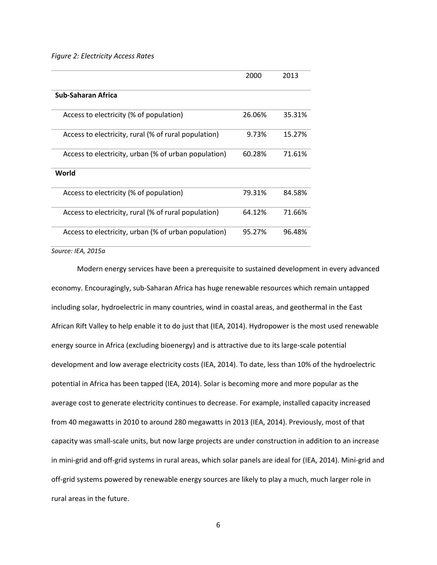*Figure 2: Electricity Access Rates*

|                                                      | 2000   | 2013   |
|------------------------------------------------------|--------|--------|
| Sub-Saharan Africa                                   |        |        |
| Access to electricity (% of population)              | 26.06% | 35.31% |
| Access to electricity, rural (% of rural population) | 9.73%  | 15.27% |
| Access to electricity, urban (% of urban population) | 60.28% | 71.61% |
| World                                                |        |        |
| Access to electricity (% of population)              | 79.31% | 84.58% |
| Access to electricity, rural (% of rural population) | 64.12% | 71.66% |
| Access to electricity, urban (% of urban population) | 95.27% | 96.48% |

*Source: IEA, 2015a*

Modern energy services have been a prerequisite to sustained development in every advanced economy. Encouragingly, sub-Saharan Africa has huge renewable resources which remain untapped including solar, hydroelectric in many countries, wind in coastal areas, and geothermal in the East African Rift Valley to help enable it to do just that (IEA, 2014). Hydropower is the most used renewable energy source in Africa (excluding bioenergy) and is attractive due to its large-scale potential development and low average electricity costs (IEA, 2014). To date, less than 10% of the hydroelectric potential in Africa has been tapped (IEA, 2014). Solar is becoming more and more popular as the average cost to generate electricity continues to decrease. For example, installed capacity increased from 40 megawatts in 2010 to around 280 megawatts in 2013 (IEA, 2014). Previously, most of that capacity was small-scale units, but now large projects are under construction in addition to an increase in mini-grid and off-grid systems in rural areas, which solar panels are ideal for (IEA, 2014). Mini-grid and off-grid systems powered by renewable energy sources are likely to play a much, much larger role in rural areas in the future.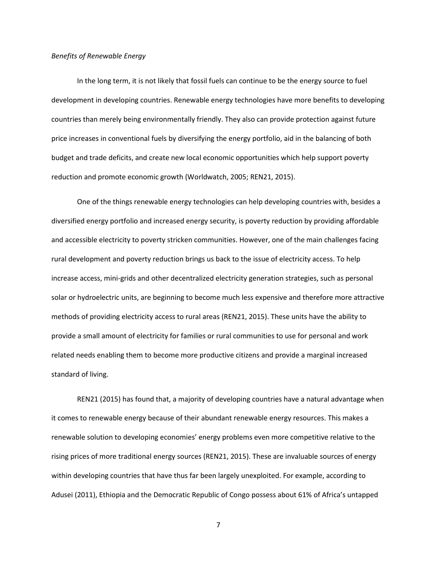### *Benefits of Renewable Energy*

In the long term, it is not likely that fossil fuels can continue to be the energy source to fuel development in developing countries. Renewable energy technologies have more benefits to developing countries than merely being environmentally friendly. They also can provide protection against future price increases in conventional fuels by diversifying the energy portfolio, aid in the balancing of both budget and trade deficits, and create new local economic opportunities which help support poverty reduction and promote economic growth (Worldwatch, 2005; REN21, 2015).

One of the things renewable energy technologies can help developing countries with, besides a diversified energy portfolio and increased energy security, is poverty reduction by providing affordable and accessible electricity to poverty stricken communities. However, one of the main challenges facing rural development and poverty reduction brings us back to the issue of electricity access. To help increase access, mini-grids and other decentralized electricity generation strategies, such as personal solar or hydroelectric units, are beginning to become much less expensive and therefore more attractive methods of providing electricity access to rural areas (REN21, 2015). These units have the ability to provide a small amount of electricity for families or rural communities to use for personal and work related needs enabling them to become more productive citizens and provide a marginal increased standard of living.

REN21 (2015) has found that, a majority of developing countries have a natural advantage when it comes to renewable energy because of their abundant renewable energy resources. This makes a renewable solution to developing economies' energy problems even more competitive relative to the rising prices of more traditional energy sources (REN21, 2015). These are invaluable sources of energy within developing countries that have thus far been largely unexploited. For example, according to Adusei (2011), Ethiopia and the Democratic Republic of Congo possess about 61% of Africa's untapped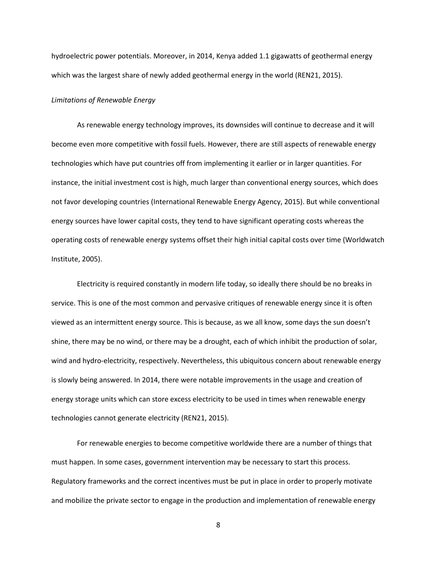hydroelectric power potentials. Moreover, in 2014, Kenya added 1.1 gigawatts of geothermal energy which was the largest share of newly added geothermal energy in the world (REN21, 2015).

#### *Limitations of Renewable Energy*

As renewable energy technology improves, its downsides will continue to decrease and it will become even more competitive with fossil fuels. However, there are still aspects of renewable energy technologies which have put countries off from implementing it earlier or in larger quantities. For instance, the initial investment cost is high, much larger than conventional energy sources, which does not favor developing countries (International Renewable Energy Agency, 2015). But while conventional energy sources have lower capital costs, they tend to have significant operating costs whereas the operating costs of renewable energy systems offset their high initial capital costs over time (Worldwatch Institute, 2005).

Electricity is required constantly in modern life today, so ideally there should be no breaks in service. This is one of the most common and pervasive critiques of renewable energy since it is often viewed as an intermittent energy source. This is because, as we all know, some days the sun doesn't shine, there may be no wind, or there may be a drought, each of which inhibit the production of solar, wind and hydro-electricity, respectively. Nevertheless, this ubiquitous concern about renewable energy is slowly being answered. In 2014, there were notable improvements in the usage and creation of energy storage units which can store excess electricity to be used in times when renewable energy technologies cannot generate electricity (REN21, 2015).

For renewable energies to become competitive worldwide there are a number of things that must happen. In some cases, government intervention may be necessary to start this process. Regulatory frameworks and the correct incentives must be put in place in order to properly motivate and mobilize the private sector to engage in the production and implementation of renewable energy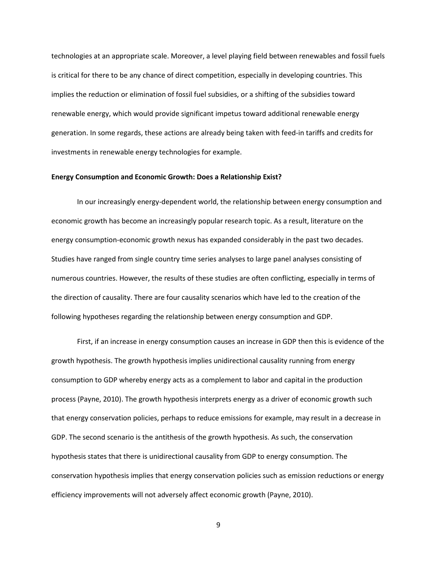technologies at an appropriate scale. Moreover, a level playing field between renewables and fossil fuels is critical for there to be any chance of direct competition, especially in developing countries. This implies the reduction or elimination of fossil fuel subsidies, or a shifting of the subsidies toward renewable energy, which would provide significant impetus toward additional renewable energy generation. In some regards, these actions are already being taken with feed-in tariffs and credits for investments in renewable energy technologies for example.

#### **Energy Consumption and Economic Growth: Does a Relationship Exist?**

In our increasingly energy-dependent world, the relationship between energy consumption and economic growth has become an increasingly popular research topic. As a result, literature on the energy consumption-economic growth nexus has expanded considerably in the past two decades. Studies have ranged from single country time series analyses to large panel analyses consisting of numerous countries. However, the results of these studies are often conflicting, especially in terms of the direction of causality. There are four causality scenarios which have led to the creation of the following hypotheses regarding the relationship between energy consumption and GDP.

First, if an increase in energy consumption causes an increase in GDP then this is evidence of the growth hypothesis. The growth hypothesis implies unidirectional causality running from energy consumption to GDP whereby energy acts as a complement to labor and capital in the production process (Payne, 2010). The growth hypothesis interprets energy as a driver of economic growth such that energy conservation policies, perhaps to reduce emissions for example, may result in a decrease in GDP. The second scenario is the antithesis of the growth hypothesis. As such, the conservation hypothesis states that there is unidirectional causality from GDP to energy consumption. The conservation hypothesis implies that energy conservation policies such as emission reductions or energy efficiency improvements will not adversely affect economic growth (Payne, 2010).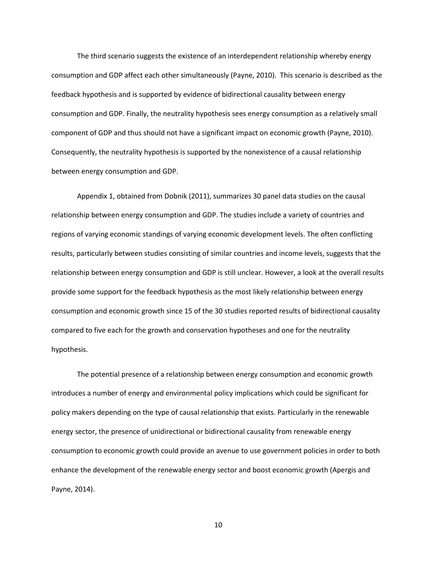The third scenario suggests the existence of an interdependent relationship whereby energy consumption and GDP affect each other simultaneously (Payne, 2010). This scenario is described as the feedback hypothesis and is supported by evidence of bidirectional causality between energy consumption and GDP. Finally, the neutrality hypothesis sees energy consumption as a relatively small component of GDP and thus should not have a significant impact on economic growth (Payne, 2010). Consequently, the neutrality hypothesis is supported by the nonexistence of a causal relationship between energy consumption and GDP.

Appendix 1, obtained from Dobnik (2011), summarizes 30 panel data studies on the causal relationship between energy consumption and GDP. The studies include a variety of countries and regions of varying economic standings of varying economic development levels. The often conflicting results, particularly between studies consisting of similar countries and income levels, suggests that the relationship between energy consumption and GDP is still unclear. However, a look at the overall results provide some support for the feedback hypothesis as the most likely relationship between energy consumption and economic growth since 15 of the 30 studies reported results of bidirectional causality compared to five each for the growth and conservation hypotheses and one for the neutrality hypothesis.

The potential presence of a relationship between energy consumption and economic growth introduces a number of energy and environmental policy implications which could be significant for policy makers depending on the type of causal relationship that exists. Particularly in the renewable energy sector, the presence of unidirectional or bidirectional causality from renewable energy consumption to economic growth could provide an avenue to use government policies in order to both enhance the development of the renewable energy sector and boost economic growth (Apergis and Payne, 2014).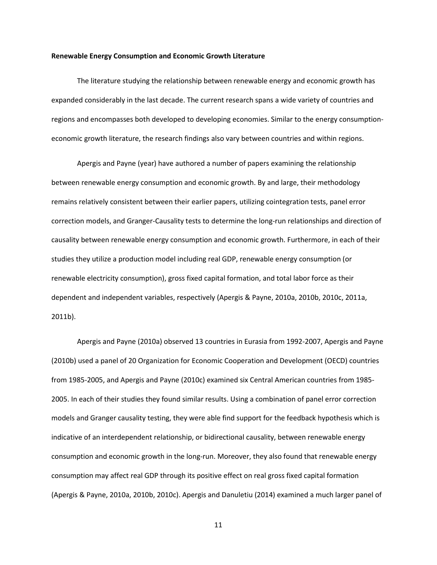#### **Renewable Energy Consumption and Economic Growth Literature**

The literature studying the relationship between renewable energy and economic growth has expanded considerably in the last decade. The current research spans a wide variety of countries and regions and encompasses both developed to developing economies. Similar to the energy consumptioneconomic growth literature, the research findings also vary between countries and within regions.

Apergis and Payne (year) have authored a number of papers examining the relationship between renewable energy consumption and economic growth. By and large, their methodology remains relatively consistent between their earlier papers, utilizing cointegration tests, panel error correction models, and Granger-Causality tests to determine the long-run relationships and direction of causality between renewable energy consumption and economic growth. Furthermore, in each of their studies they utilize a production model including real GDP, renewable energy consumption (or renewable electricity consumption), gross fixed capital formation, and total labor force as their dependent and independent variables, respectively (Apergis & Payne, 2010a, 2010b, 2010c, 2011a, 2011b).

Apergis and Payne (2010a) observed 13 countries in Eurasia from 1992-2007, Apergis and Payne (2010b) used a panel of 20 Organization for Economic Cooperation and Development (OECD) countries from 1985-2005, and Apergis and Payne (2010c) examined six Central American countries from 1985- 2005. In each of their studies they found similar results. Using a combination of panel error correction models and Granger causality testing, they were able find support for the feedback hypothesis which is indicative of an interdependent relationship, or bidirectional causality, between renewable energy consumption and economic growth in the long-run. Moreover, they also found that renewable energy consumption may affect real GDP through its positive effect on real gross fixed capital formation (Apergis & Payne, 2010a, 2010b, 2010c). Apergis and Danuletiu (2014) examined a much larger panel of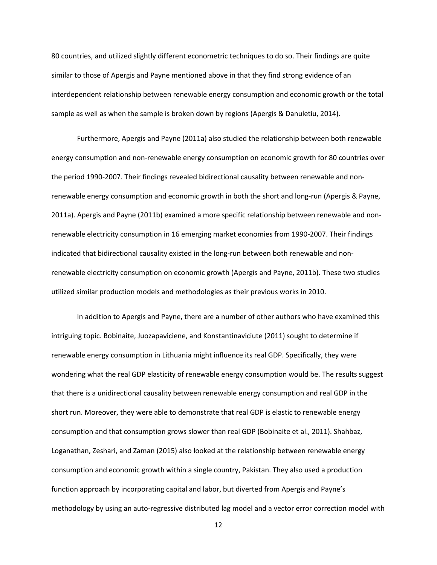80 countries, and utilized slightly different econometric techniques to do so. Their findings are quite similar to those of Apergis and Payne mentioned above in that they find strong evidence of an interdependent relationship between renewable energy consumption and economic growth or the total sample as well as when the sample is broken down by regions (Apergis & Danuletiu, 2014).

Furthermore, Apergis and Payne (2011a) also studied the relationship between both renewable energy consumption and non-renewable energy consumption on economic growth for 80 countries over the period 1990-2007. Their findings revealed bidirectional causality between renewable and nonrenewable energy consumption and economic growth in both the short and long-run (Apergis & Payne, 2011a). Apergis and Payne (2011b) examined a more specific relationship between renewable and nonrenewable electricity consumption in 16 emerging market economies from 1990-2007. Their findings indicated that bidirectional causality existed in the long-run between both renewable and nonrenewable electricity consumption on economic growth (Apergis and Payne, 2011b). These two studies utilized similar production models and methodologies as their previous works in 2010.

In addition to Apergis and Payne, there are a number of other authors who have examined this intriguing topic. Bobinaite, Juozapaviciene, and Konstantinaviciute (2011) sought to determine if renewable energy consumption in Lithuania might influence its real GDP. Specifically, they were wondering what the real GDP elasticity of renewable energy consumption would be. The results suggest that there is a unidirectional causality between renewable energy consumption and real GDP in the short run. Moreover, they were able to demonstrate that real GDP is elastic to renewable energy consumption and that consumption grows slower than real GDP (Bobinaite et al., 2011). Shahbaz, Loganathan, Zeshari, and Zaman (2015) also looked at the relationship between renewable energy consumption and economic growth within a single country, Pakistan. They also used a production function approach by incorporating capital and labor, but diverted from Apergis and Payne's methodology by using an auto-regressive distributed lag model and a vector error correction model with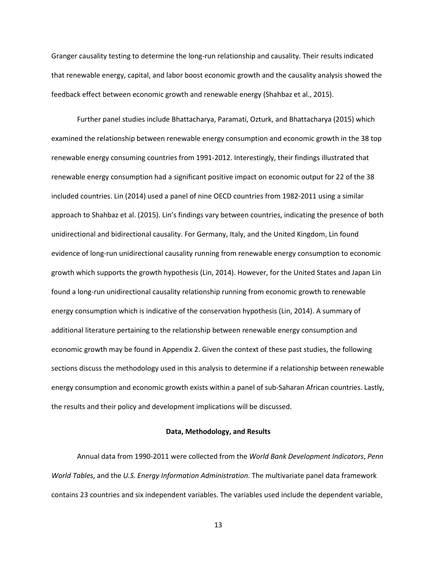Granger causality testing to determine the long-run relationship and causality. Their results indicated that renewable energy, capital, and labor boost economic growth and the causality analysis showed the feedback effect between economic growth and renewable energy (Shahbaz et al., 2015).

Further panel studies include Bhattacharya, Paramati, Ozturk, and Bhattacharya (2015) which examined the relationship between renewable energy consumption and economic growth in the 38 top renewable energy consuming countries from 1991-2012. Interestingly, their findings illustrated that renewable energy consumption had a significant positive impact on economic output for 22 of the 38 included countries. Lin (2014) used a panel of nine OECD countries from 1982-2011 using a similar approach to Shahbaz et al. (2015). Lin's findings vary between countries, indicating the presence of both unidirectional and bidirectional causality. For Germany, Italy, and the United Kingdom, Lin found evidence of long-run unidirectional causality running from renewable energy consumption to economic growth which supports the growth hypothesis (Lin, 2014). However, for the United States and Japan Lin found a long-run unidirectional causality relationship running from economic growth to renewable energy consumption which is indicative of the conservation hypothesis (Lin, 2014). A summary of additional literature pertaining to the relationship between renewable energy consumption and economic growth may be found in Appendix 2. Given the context of these past studies, the following sections discuss the methodology used in this analysis to determine if a relationship between renewable energy consumption and economic growth exists within a panel of sub-Saharan African countries. Lastly, the results and their policy and development implications will be discussed.

### **Data, Methodology, and Results**

Annual data from 1990-2011 were collected from the *World Bank Development Indicators*, *Penn World Tables*, and the *U.S. Energy Information Administration*. The multivariate panel data framework contains 23 countries and six independent variables. The variables used include the dependent variable,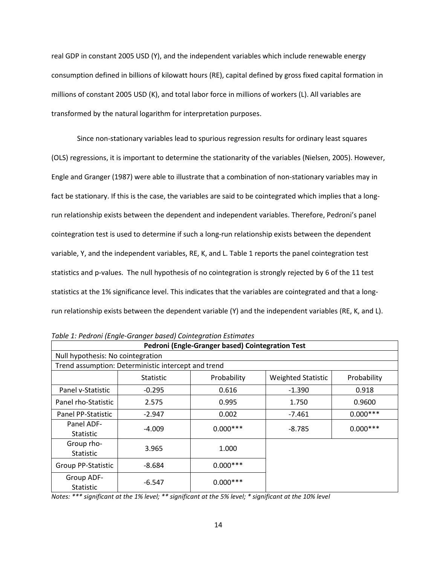real GDP in constant 2005 USD (Y), and the independent variables which include renewable energy consumption defined in billions of kilowatt hours (RE), capital defined by gross fixed capital formation in millions of constant 2005 USD (K), and total labor force in millions of workers (L). All variables are transformed by the natural logarithm for interpretation purposes.

Since non-stationary variables lead to spurious regression results for ordinary least squares (OLS) regressions, it is important to determine the stationarity of the variables (Nielsen, 2005). However, Engle and Granger (1987) were able to illustrate that a combination of non-stationary variables may in fact be stationary. If this is the case, the variables are said to be cointegrated which implies that a longrun relationship exists between the dependent and independent variables. Therefore, Pedroni's panel cointegration test is used to determine if such a long-run relationship exists between the dependent variable, Y, and the independent variables, RE, K, and L. Table 1 reports the panel cointegration test statistics and p-values. The null hypothesis of no cointegration is strongly rejected by 6 of the 11 test statistics at the 1% significance level. This indicates that the variables are cointegrated and that a longrun relationship exists between the dependent variable (Y) and the independent variables (RE, K, and L).

| Pedroni (Engle-Granger based) Cointegration Test    |                  |             |                           |             |
|-----------------------------------------------------|------------------|-------------|---------------------------|-------------|
| Null hypothesis: No cointegration                   |                  |             |                           |             |
| Trend assumption: Deterministic intercept and trend |                  |             |                           |             |
|                                                     | <b>Statistic</b> | Probability | <b>Weighted Statistic</b> | Probability |
| Panel v-Statistic                                   | $-0.295$         | 0.616       | -1.390                    | 0.918       |
| Panel rho-Statistic                                 | 2.575            | 0.995       | 1.750                     | 0.9600      |
| Panel PP-Statistic                                  | $-2.947$         | 0.002       | $-7.461$                  | $0.000***$  |
| Panel ADF-<br><b>Statistic</b>                      | $-4.009$         | $0.000***$  | -8.785                    | $0.000***$  |
| Group rho-<br><b>Statistic</b>                      | 3.965            | 1.000       |                           |             |
| <b>Group PP-Statistic</b>                           | $-8.684$         | $0.000***$  |                           |             |
| Group ADF-<br>Statistic                             | $-6.547$         | $0.000***$  |                           |             |

*Table 1: Pedroni (Engle-Granger based) Cointegration Estimates*

*Notes: \*\*\* significant at the 1% level; \*\* significant at the 5% level; \* significant at the 10% level*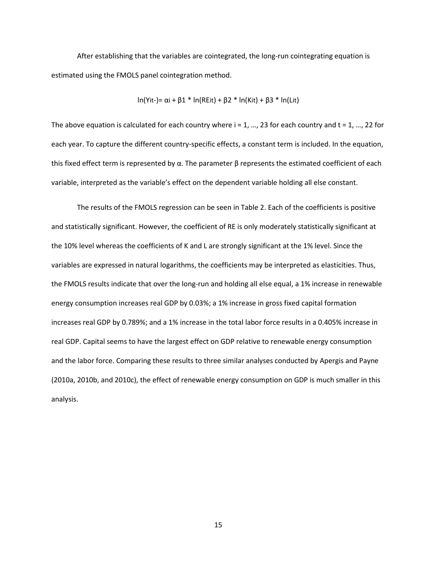After establishing that the variables are cointegrated, the long-run cointegrating equation is estimated using the FMOLS panel cointegration method.

$$
\ln(Yit-) = \alpha i + \beta 1 * \ln(REit) + \beta 2 * \ln(Kit) + \beta 3 * \ln(Lit)
$$

The above equation is calculated for each country where  $i = 1, ..., 23$  for each country and  $t = 1, ..., 22$  for each year. To capture the different country-specific effects, a constant term is included. In the equation, this fixed effect term is represented by α. The parameter  $β$  represents the estimated coefficient of each variable, interpreted as the variable's effect on the dependent variable holding all else constant.

The results of the FMOLS regression can be seen in Table 2. Each of the coefficients is positive and statistically significant. However, the coefficient of RE is only moderately statistically significant at the 10% level whereas the coefficients of K and L are strongly significant at the 1% level. Since the variables are expressed in natural logarithms, the coefficients may be interpreted as elasticities. Thus, the FMOLS results indicate that over the long-run and holding all else equal, a 1% increase in renewable energy consumption increases real GDP by 0.03%; a 1% increase in gross fixed capital formation increases real GDP by 0.789%; and a 1% increase in the total labor force results in a 0.405% increase in real GDP. Capital seems to have the largest effect on GDP relative to renewable energy consumption and the labor force. Comparing these results to three similar analyses conducted by Apergis and Payne (2010a, 2010b, and 2010c), the effect of renewable energy consumption on GDP is much smaller in this analysis.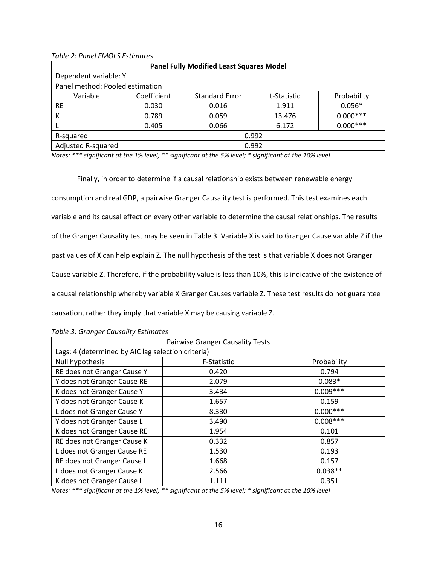*Table 2: Panel FMOLS Estimates*

| <b>Panel Fully Modified Least Squares Model</b> |             |                       |             |             |
|-------------------------------------------------|-------------|-----------------------|-------------|-------------|
| Dependent variable: Y                           |             |                       |             |             |
| Panel method: Pooled estimation                 |             |                       |             |             |
| Variable                                        | Coefficient | <b>Standard Error</b> | t-Statistic | Probability |
| <b>RE</b>                                       | 0.030       | 0.016                 | 1.911       | $0.056*$    |
| К                                               | 0.789       | 0.059                 | 13.476      | $0.000***$  |
|                                                 | 0.405       | 0.066                 | 6.172       | $0.000***$  |
| R-squared                                       | 0.992       |                       |             |             |
| Adjusted R-squared                              | 0.992       |                       |             |             |

*Notes: \*\*\* significant at the 1% level; \*\* significant at the 5% level; \* significant at the 10% level*

Finally, in order to determine if a causal relationship exists between renewable energy consumption and real GDP, a pairwise Granger Causality test is performed. This test examines each variable and its causal effect on every other variable to determine the causal relationships. The results of the Granger Causality test may be seen in Table 3. Variable X is said to Granger Cause variable Z if the past values of X can help explain Z. The null hypothesis of the test is that variable X does not Granger Cause variable Z. Therefore, if the probability value is less than 10%, this is indicative of the existence of a causal relationship whereby variable X Granger Causes variable Z. These test results do not guarantee causation, rather they imply that variable X may be causing variable Z.

| <b>Pairwise Granger Causality Tests</b>            |             |             |  |
|----------------------------------------------------|-------------|-------------|--|
| Lags: 4 (determined by AIC lag selection criteria) |             |             |  |
| Null hypothesis                                    | F-Statistic | Probability |  |
| RE does not Granger Cause Y                        | 0.420       | 0.794       |  |
| Y does not Granger Cause RE                        | 2.079       | $0.083*$    |  |
| K does not Granger Cause Y                         | 3.434       | $0.009***$  |  |
| Y does not Granger Cause K                         | 1.657       | 0.159       |  |
| L does not Granger Cause Y                         | 8.330       | $0.000***$  |  |
| Y does not Granger Cause L                         | 3.490       | $0.008***$  |  |
| K does not Granger Cause RE                        | 1.954       | 0.101       |  |
| RE does not Granger Cause K                        | 0.332       | 0.857       |  |
| L does not Granger Cause RE                        | 1.530       | 0.193       |  |
| RE does not Granger Cause L                        | 1.668       | 0.157       |  |
| L does not Granger Cause K                         | 2.566       | $0.038**$   |  |
| K does not Granger Cause L                         | 1.111       | 0.351       |  |

*Table 3: Granger Causality Estimates*

*Notes: \*\*\* significant at the 1% level; \*\* significant at the 5% level; \* significant at the 10% level*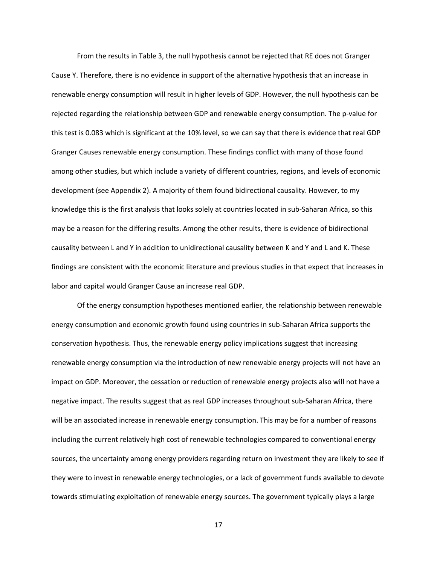From the results in Table 3, the null hypothesis cannot be rejected that RE does not Granger Cause Y. Therefore, there is no evidence in support of the alternative hypothesis that an increase in renewable energy consumption will result in higher levels of GDP. However, the null hypothesis can be rejected regarding the relationship between GDP and renewable energy consumption. The p-value for this test is 0.083 which is significant at the 10% level, so we can say that there is evidence that real GDP Granger Causes renewable energy consumption. These findings conflict with many of those found among other studies, but which include a variety of different countries, regions, and levels of economic development (see Appendix 2). A majority of them found bidirectional causality. However, to my knowledge this is the first analysis that looks solely at countries located in sub-Saharan Africa, so this may be a reason for the differing results. Among the other results, there is evidence of bidirectional causality between L and Y in addition to unidirectional causality between K and Y and L and K. These findings are consistent with the economic literature and previous studies in that expect that increases in labor and capital would Granger Cause an increase real GDP.

Of the energy consumption hypotheses mentioned earlier, the relationship between renewable energy consumption and economic growth found using countries in sub-Saharan Africa supports the conservation hypothesis. Thus, the renewable energy policy implications suggest that increasing renewable energy consumption via the introduction of new renewable energy projects will not have an impact on GDP. Moreover, the cessation or reduction of renewable energy projects also will not have a negative impact. The results suggest that as real GDP increases throughout sub-Saharan Africa, there will be an associated increase in renewable energy consumption. This may be for a number of reasons including the current relatively high cost of renewable technologies compared to conventional energy sources, the uncertainty among energy providers regarding return on investment they are likely to see if they were to invest in renewable energy technologies, or a lack of government funds available to devote towards stimulating exploitation of renewable energy sources. The government typically plays a large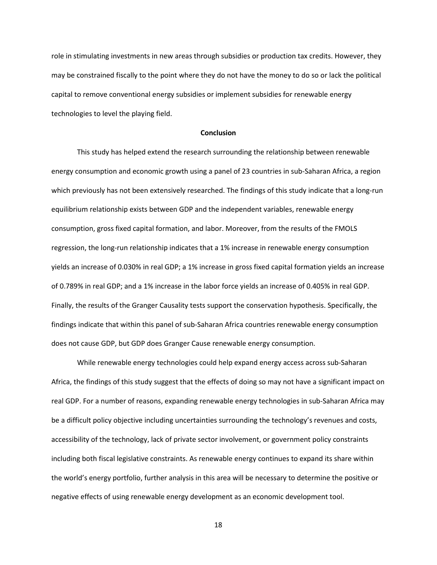role in stimulating investments in new areas through subsidies or production tax credits. However, they may be constrained fiscally to the point where they do not have the money to do so or lack the political capital to remove conventional energy subsidies or implement subsidies for renewable energy technologies to level the playing field.

#### **Conclusion**

This study has helped extend the research surrounding the relationship between renewable energy consumption and economic growth using a panel of 23 countries in sub-Saharan Africa, a region which previously has not been extensively researched. The findings of this study indicate that a long-run equilibrium relationship exists between GDP and the independent variables, renewable energy consumption, gross fixed capital formation, and labor. Moreover, from the results of the FMOLS regression, the long-run relationship indicates that a 1% increase in renewable energy consumption yields an increase of 0.030% in real GDP; a 1% increase in gross fixed capital formation yields an increase of 0.789% in real GDP; and a 1% increase in the labor force yields an increase of 0.405% in real GDP. Finally, the results of the Granger Causality tests support the conservation hypothesis. Specifically, the findings indicate that within this panel of sub-Saharan Africa countries renewable energy consumption does not cause GDP, but GDP does Granger Cause renewable energy consumption.

While renewable energy technologies could help expand energy access across sub-Saharan Africa, the findings of this study suggest that the effects of doing so may not have a significant impact on real GDP. For a number of reasons, expanding renewable energy technologies in sub-Saharan Africa may be a difficult policy objective including uncertainties surrounding the technology's revenues and costs, accessibility of the technology, lack of private sector involvement, or government policy constraints including both fiscal legislative constraints. As renewable energy continues to expand its share within the world's energy portfolio, further analysis in this area will be necessary to determine the positive or negative effects of using renewable energy development as an economic development tool.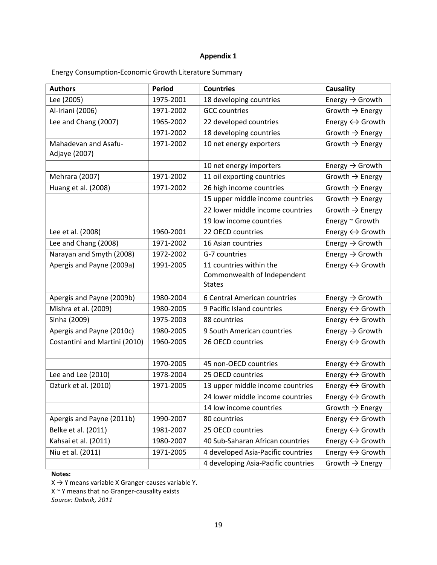# **Appendix 1**

| <b>Authors</b>                        | <b>Period</b> | <b>Countries</b>                                                        | Causality                       |
|---------------------------------------|---------------|-------------------------------------------------------------------------|---------------------------------|
| Lee (2005)                            | 1975-2001     | 18 developing countries                                                 | Energy $\rightarrow$ Growth     |
| Al-Iriani (2006)                      | 1971-2002     | <b>GCC countries</b>                                                    | Growth $\rightarrow$ Energy     |
| Lee and Chang (2007)                  | 1965-2002     | 22 developed countries                                                  | Energy $\leftrightarrow$ Growth |
|                                       | 1971-2002     | 18 developing countries                                                 | Growth $\rightarrow$ Energy     |
| Mahadevan and Asafu-<br>Adjaye (2007) | 1971-2002     | 10 net energy exporters                                                 | Growth $\rightarrow$ Energy     |
|                                       |               | 10 net energy importers                                                 | Energy $\rightarrow$ Growth     |
| Mehrara (2007)                        | 1971-2002     | 11 oil exporting countries                                              | Growth $\rightarrow$ Energy     |
| Huang et al. (2008)                   | 1971-2002     | 26 high income countries                                                | Growth $\rightarrow$ Energy     |
|                                       |               | 15 upper middle income countries                                        | Growth $\rightarrow$ Energy     |
|                                       |               | 22 lower middle income countries                                        | Growth $\rightarrow$ Energy     |
|                                       |               | 19 low income countries                                                 | Energy ~ Growth                 |
| Lee et al. (2008)                     | 1960-2001     | 22 OECD countries                                                       | Energy $\leftrightarrow$ Growth |
| Lee and Chang (2008)                  | 1971-2002     | 16 Asian countries                                                      | Energy $\rightarrow$ Growth     |
| Narayan and Smyth (2008)              | 1972-2002     | G-7 countries                                                           | Energy $\rightarrow$ Growth     |
| Apergis and Payne (2009a)             | 1991-2005     | 11 countries within the<br>Commonwealth of Independent<br><b>States</b> | Energy $\leftrightarrow$ Growth |
| Apergis and Payne (2009b)             | 1980-2004     | 6 Central American countries                                            | Energy $\rightarrow$ Growth     |
| Mishra et al. (2009)                  | 1980-2005     | 9 Pacific Island countries                                              | Energy ↔ Growth                 |
| Sinha (2009)                          | 1975-2003     | 88 countries                                                            | Energy $\leftrightarrow$ Growth |
| Apergis and Payne (2010c)             | 1980-2005     | 9 South American countries                                              | Energy $\rightarrow$ Growth     |
| Costantini and Martini (2010)         | 1960-2005     | 26 OECD countries                                                       | Energy $\leftrightarrow$ Growth |
|                                       | 1970-2005     | 45 non-OECD countries                                                   | Energy $\leftrightarrow$ Growth |
| Lee and Lee (2010)                    | 1978-2004     | 25 OECD countries                                                       | Energy $\leftrightarrow$ Growth |
| Ozturk et al. (2010)                  | 1971-2005     | 13 upper middle income countries                                        | Energy $\leftrightarrow$ Growth |
|                                       |               | 24 lower middle income countries                                        | Energy ↔ Growth                 |
|                                       |               | 14 low income countries                                                 | Growth $\rightarrow$ Energy     |
| Apergis and Payne (2011b)             | 1990-2007     | 80 countries                                                            | Energy $\leftrightarrow$ Growth |
| Belke et al. (2011)                   | 1981-2007     | 25 OECD countries                                                       | Energy $\leftrightarrow$ Growth |
| Kahsai et al. (2011)                  | 1980-2007     | 40 Sub-Saharan African countries                                        | Energy $\leftrightarrow$ Growth |
| Niu et al. (2011)                     | 1971-2005     | 4 developed Asia-Pacific countries                                      | Energy $\leftrightarrow$ Growth |
|                                       |               | 4 developing Asia-Pacific countries                                     | Growth $\rightarrow$ Energy     |

Energy Consumption-Economic Growth Literature Summary

## **Notes:**

 $X \rightarrow Y$  means variable X Granger-causes variable Y.

 $X \sim Y$  means that no Granger-causality exists

*Source: Dobnik, 2011*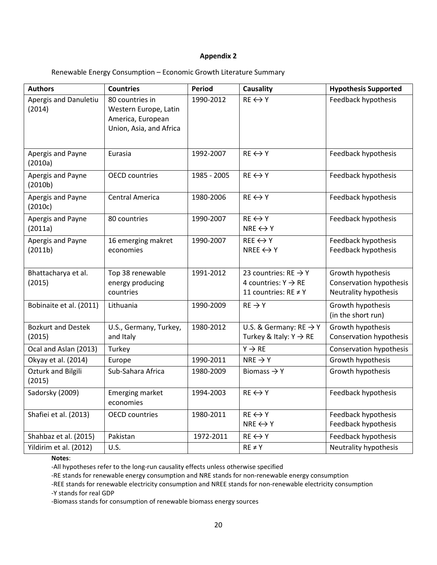## **Appendix 2**

## Renewable Energy Consumption – Economic Growth Literature Summary

| <b>Authors</b>                      | <b>Countries</b>                                                                         | Period      | <b>Causality</b>                                                                                 | <b>Hypothesis Supported</b>                                           |
|-------------------------------------|------------------------------------------------------------------------------------------|-------------|--------------------------------------------------------------------------------------------------|-----------------------------------------------------------------------|
| Apergis and Danuletiu<br>(2014)     | 80 countries in<br>Western Europe, Latin<br>America, European<br>Union, Asia, and Africa | 1990-2012   | $RE \leftrightarrow Y$                                                                           | Feedback hypothesis                                                   |
| Apergis and Payne<br>(2010a)        | Eurasia                                                                                  | 1992-2007   | $RE \leftrightarrow Y$                                                                           | Feedback hypothesis                                                   |
| Apergis and Payne<br>(2010b)        | <b>OECD</b> countries                                                                    | 1985 - 2005 | $RE \leftrightarrow Y$                                                                           | Feedback hypothesis                                                   |
| Apergis and Payne<br>(2010c)        | <b>Central America</b>                                                                   | 1980-2006   | $RE \leftrightarrow Y$                                                                           | Feedback hypothesis                                                   |
| Apergis and Payne<br>(2011a)        | 80 countries                                                                             | 1990-2007   | $RE \leftrightarrow Y$<br>NRE $\leftrightarrow$ Y                                                | Feedback hypothesis                                                   |
| Apergis and Payne<br>(2011b)        | 16 emerging makret<br>economies                                                          | 1990-2007   | $REE \leftrightarrow Y$<br>NREE $\leftrightarrow$ Y                                              | Feedback hypothesis<br>Feedback hypothesis                            |
| Bhattacharya et al.<br>(2015)       | Top 38 renewable<br>energy producing<br>countries                                        | 1991-2012   | 23 countries: $RE \rightarrow Y$<br>4 countries: $Y \rightarrow RE$<br>11 countries: $RE \neq Y$ | Growth hypothesis<br>Conservation hypothesis<br>Neutrality hypothesis |
| Bobinaite et al. (2011)             | Lithuania                                                                                | 1990-2009   | $RE \rightarrow Y$                                                                               | Growth hypothesis<br>(in the short run)                               |
| <b>Bozkurt and Destek</b><br>(2015) | U.S., Germany, Turkey,<br>and Italy                                                      | 1980-2012   | U.S. & Germany: $RE \rightarrow Y$<br>Turkey & Italy: $Y \rightarrow RE$                         | Growth hypothesis<br>Conservation hypothesis                          |
| Ocal and Aslan (2013)               | Turkey                                                                                   |             | $Y \rightarrow RE$                                                                               | Conservation hypothesis                                               |
| Okyay et al. (2014)                 | Europe                                                                                   | 1990-2011   | $NRE \rightarrow Y$                                                                              | Growth hypothesis                                                     |
| <b>Ozturk and Bilgili</b><br>(2015) | Sub-Sahara Africa                                                                        | 1980-2009   | Biomass $\rightarrow$ Y                                                                          | Growth hypothesis                                                     |
| Sadorsky (2009)                     | <b>Emerging market</b><br>economies                                                      | 1994-2003   | $RE \leftrightarrow Y$                                                                           | Feedback hypothesis                                                   |
| Shafiei et al. (2013)               | <b>OECD</b> countries                                                                    | 1980-2011   | $RE \leftrightarrow Y$<br>NRE $\leftrightarrow$ Y                                                | Feedback hypothesis<br>Feedback hypothesis                            |
| Shahbaz et al. (2015)               | Pakistan                                                                                 | 1972-2011   | $RE \leftrightarrow Y$                                                                           | Feedback hypothesis                                                   |
| Yildirim et al. (2012)              | U.S.                                                                                     |             | $RE \neq Y$                                                                                      | Neutrality hypothesis                                                 |

# **Notes**:

-All hypotheses refer to the long-run causality effects unless otherwise specified

-RE stands for renewable energy consumption and NRE stands for non-renewable energy consumption

-REE stands for renewable electricity consumption and NREE stands for non-renewable electricity consumption -Y stands for real GDP

-Biomass stands for consumption of renewable biomass energy sources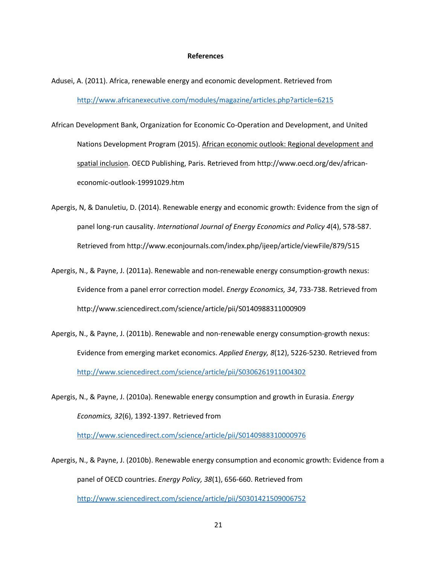#### **References**

- Adusei, A. (2011). Africa, renewable energy and economic development. Retrieved from <http://www.africanexecutive.com/modules/magazine/articles.php?article=6215>
- African Development Bank, Organization for Economic Co-Operation and Development, and United Nations Development Program (2015). African economic outlook: Regional development and spatial inclusion. OECD Publishing, Paris. Retrieved from http://www.oecd.org/dev/africaneconomic-outlook-19991029.htm
- Apergis, N, & Danuletiu, D. (2014). Renewable energy and economic growth: Evidence from the sign of panel long-run causality. *International Journal of Energy Economics and Policy 4*(4), 578-587. Retrieved from http://www.econjournals.com/index.php/ijeep/article/viewFile/879/515
- Apergis, N., & Payne, J. (2011a). Renewable and non-renewable energy consumption-growth nexus: Evidence from a panel error correction model. *Energy Economics, 34*, 733-738. Retrieved from http://www.sciencedirect.com/science/article/pii/S0140988311000909
- Apergis, N., & Payne, J. (2011b). Renewable and non-renewable energy consumption-growth nexus: Evidence from emerging market economics. *Applied Energy, 8*(12), 5226-5230. Retrieved from <http://www.sciencedirect.com/science/article/pii/S0306261911004302>
- Apergis, N., & Payne, J. (2010a). Renewable energy consumption and growth in Eurasia. *Energy Economics, 32*(6), 1392-1397. Retrieved from

<http://www.sciencedirect.com/science/article/pii/S0140988310000976>

Apergis, N., & Payne, J. (2010b). Renewable energy consumption and economic growth: Evidence from a panel of OECD countries. *Energy Policy, 38*(1), 656-660. Retrieved from <http://www.sciencedirect.com/science/article/pii/S0301421509006752>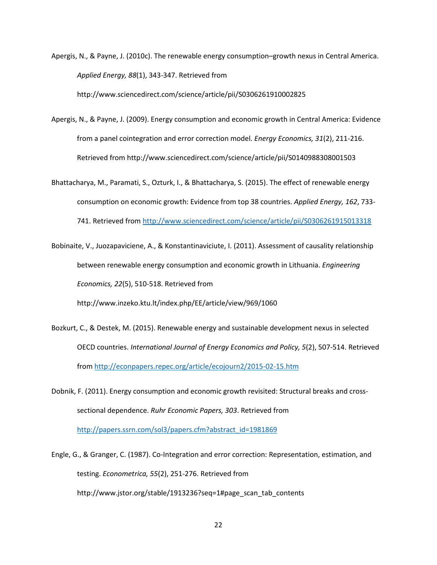Apergis, N., & Payne, J. (2010c). The renewable energy consumption–growth nexus in Central America. *Applied Energy, 88*(1), 343-347. Retrieved from

http://www.sciencedirect.com/science/article/pii/S0306261910002825

- Apergis, N., & Payne, J. (2009). Energy consumption and economic growth in Central America: Evidence from a panel cointegration and error correction model. *Energy Economics, 31*(2), 211-216. Retrieved from http://www.sciencedirect.com/science/article/pii/S0140988308001503
- Bhattacharya, M., Paramati, S., Ozturk, I., & Bhattacharya, S. (2015). The effect of renewable energy consumption on economic growth: Evidence from top 38 countries. *Applied Energy, 162*, 733- 741. Retrieved from<http://www.sciencedirect.com/science/article/pii/S0306261915013318>
- Bobinaite, V., Juozapaviciene, A., & Konstantinaviciute, I. (2011). Assessment of causality relationship between renewable energy consumption and economic growth in Lithuania. *Engineering Economics, 22*(5), 510-518. Retrieved from

http://www.inzeko.ktu.lt/index.php/EE/article/view/969/1060

- Bozkurt, C., & Destek, M. (2015). Renewable energy and sustainable development nexus in selected OECD countries. *International Journal of Energy Economics and Policy, 5*(2), 507-514. Retrieved from<http://econpapers.repec.org/article/ecojourn2/2015-02-15.htm>
- Dobnik, F. (2011). Energy consumption and economic growth revisited: Structural breaks and crosssectional dependence. *Ruhr Economic Papers, 303*. Retrieved from [http://papers.ssrn.com/sol3/papers.cfm?abstract\\_id=1981869](http://papers.ssrn.com/sol3/papers.cfm?abstract_id=1981869)
- Engle, G., & Granger, C. (1987). Co-Integration and error correction: Representation, estimation, and testing. *Econometrica, 55*(2), 251-276. Retrieved from http://www.jstor.org/stable/1913236?seq=1#page\_scan\_tab\_contents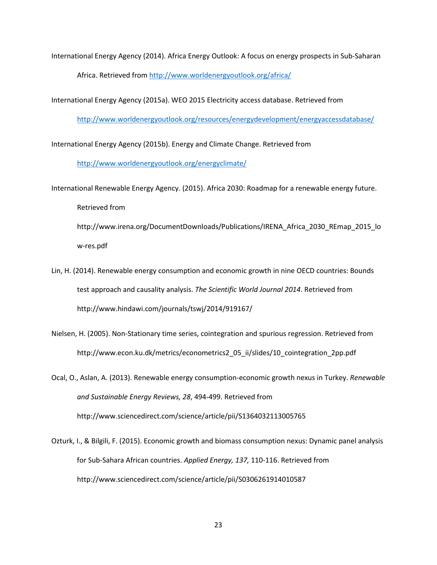International Energy Agency (2014). Africa Energy Outlook: A focus on energy prospects in Sub-Saharan Africa. Retrieved from<http://www.worldenergyoutlook.org/africa/>

International Energy Agency (2015a). WEO 2015 Electricity access database. Retrieved from

<http://www.worldenergyoutlook.org/resources/energydevelopment/energyaccessdatabase/>

International Energy Agency (2015b). Energy and Climate Change. Retrieved from

<http://www.worldenergyoutlook.org/energyclimate/>

- International Renewable Energy Agency. (2015). Africa 2030: Roadmap for a renewable energy future. Retrieved from http://www.irena.org/DocumentDownloads/Publications/IRENA\_Africa\_2030\_REmap\_2015\_lo w-res.pdf
- Lin, H. (2014). Renewable energy consumption and economic growth in nine OECD countries: Bounds test approach and causality analysis. *The Scientific World Journal 2014*. Retrieved from http://www.hindawi.com/journals/tswj/2014/919167/
- Nielsen, H. (2005). Non-Stationary time series, cointegration and spurious regression. Retrieved from http://www.econ.ku.dk/metrics/econometrics2\_05\_ii/slides/10\_cointegration\_2pp.pdf
- Ocal, O., Aslan, A. (2013). Renewable energy consumption-economic growth nexus in Turkey. *Renewable and Sustainable Energy Reviews, 28*, 494-499. Retrieved from http://www.sciencedirect.com/science/article/pii/S1364032113005765
- Ozturk, I., & Bilgili, F. (2015). Economic growth and biomass consumption nexus: Dynamic panel analysis for Sub-Sahara African countries. *Applied Energy, 137,* 110-116. Retrieved from http://www.sciencedirect.com/science/article/pii/S0306261914010587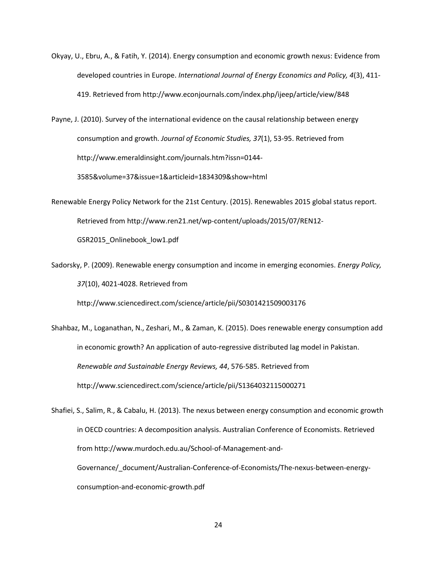Okyay, U., Ebru, A., & Fatih, Y. (2014). Energy consumption and economic growth nexus: Evidence from developed countries in Europe. *International Journal of Energy Economics and Policy, 4*(3), 411- 419. Retrieved from http://www.econjournals.com/index.php/ijeep/article/view/848

Payne, J. (2010). Survey of the international evidence on the causal relationship between energy consumption and growth. *Journal of Economic Studies, 37*(1), 53-95. Retrieved from http://www.emeraldinsight.com/journals.htm?issn=0144- 3585&volume=37&issue=1&articleid=1834309&show=html

Renewable Energy Policy Network for the 21st Century. (2015). Renewables 2015 global status report. Retrieved from http://www.ren21.net/wp-content/uploads/2015/07/REN12- GSR2015\_Onlinebook\_low1.pdf

Sadorsky, P. (2009). Renewable energy consumption and income in emerging economies. *Energy Policy, 37*(10), 4021-4028. Retrieved from

http://www.sciencedirect.com/science/article/pii/S0301421509003176

Shahbaz, M., Loganathan, N., Zeshari, M., & Zaman, K. (2015). Does renewable energy consumption add in economic growth? An application of auto-regressive distributed lag model in Pakistan. *Renewable and Sustainable Energy Reviews, 44*, 576-585. Retrieved from http://www.sciencedirect.com/science/article/pii/S1364032115000271

Shafiei, S., Salim, R., & Cabalu, H. (2013). The nexus between energy consumption and economic growth in OECD countries: A decomposition analysis. Australian Conference of Economists. Retrieved from http://www.murdoch.edu.au/School-of-Management-and-Governance/\_document/Australian-Conference-of-Economists/The-nexus-between-energyconsumption-and-economic-growth.pdf